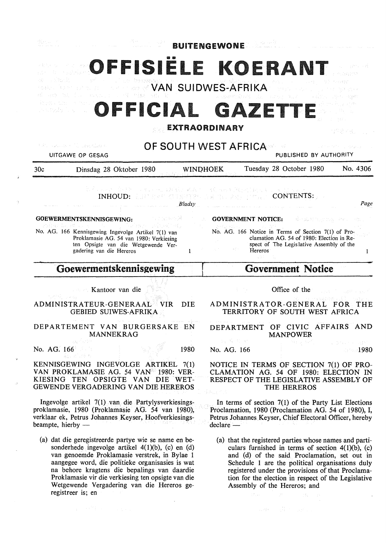| <b>BUITENGEWONE</b>                                                                                                                                                                                                                   |             |                                                    |                                                                                                                                                                           |                                |  |
|---------------------------------------------------------------------------------------------------------------------------------------------------------------------------------------------------------------------------------------|-------------|----------------------------------------------------|---------------------------------------------------------------------------------------------------------------------------------------------------------------------------|--------------------------------|--|
| OFFISIELE KOERANT<br>(第二): 2.15元)<br>外員 記し きざみた<br>3월 1931                                                                                                                                                                            |             | <b>WAN SUIDWES-AFRIKA</b>                          |                                                                                                                                                                           |                                |  |
| VIDEO A CIDE<br>OFFICIAL GAZETTE                                                                                                                                                                                                      |             | <b>EXTRAORDINARY</b>                               |                                                                                                                                                                           |                                |  |
| t Participation of the seat of last of<br>UITGAWE OP GESAG                                                                                                                                                                            |             | <b>OF SOUTH WEST AFRICA®</b>                       | PUBLISHED BY AUTHORITY                                                                                                                                                    |                                |  |
| 30c<br>Dinsdag 28 Oktober 1980                                                                                                                                                                                                        |             | <b>WINDHOEK</b>                                    | Tuesday 28 October 1980                                                                                                                                                   | No. 4306                       |  |
| とくいっと かげとしょねいん はんぼうえん ついぼうちん きんとうおくすう そうかくんと                                                                                                                                                                                          | Bladsv      | <b>INHOUD:</b> ALBITANY CESSERY ARE TO A COUPLE IT | CONTENTS:                                                                                                                                                                 | Page                           |  |
| GOEWERMENTSKENNISGEWING:                                                                                                                                                                                                              | Giorgen 6 원 | <b>GOVERNMENT NOTICE:</b>                          | abast manus on l                                                                                                                                                          |                                |  |
| ほうせん かんじめ コントリート プレート<br>- Participation and Profile and Profile<br>No. AG. 166 Kennisgewing Ingevolge Artikel 7(1) van<br>Proklamasie AG. 54 van 1980: Verkiesing<br>ten Opsigte van die Wetgewende Ver-<br>gadering van die Hereros | 1           | Hereros                                            | No. AG. 166 Notice in Terms of Section 7(1) of Pro-<br>clamation AG. 54 of 1980: Election in Re-<br>spect of The Legislative Assembly of the                              | 1                              |  |
| Goewermentskennisgewing                                                                                                                                                                                                               |             |                                                    | <b>Government Notice</b>                                                                                                                                                  |                                |  |
| <b>Example 18</b> Kantoor van die<br>ADMINISTRATEUR-GENERAAL VIR<br><b>GEBIED SUIWES-AFRIKA</b>                                                                                                                                       | DIE         |                                                    | Office of the<br>ADMINISTRATOR-GENERAL<br>TERRITORY OF SOUTH WEST AFRICA                                                                                                  | - FOR-<br>тне                  |  |
| DEPARTEMENT VAN BURGERSAKE EN<br><b>MANNEKRAG</b>                                                                                                                                                                                     |             |                                                    | DEPARTMENT OF CIVIC AFFAIRS AND<br><b>MANPOWER</b>                                                                                                                        |                                |  |
| ability's<br>No. AG. 166                                                                                                                                                                                                              | 1980        | 도 잘 먹는데<br>No. AG. 166                             | 医线 医二碘酸                                                                                                                                                                   | Contractor and provide<br>1980 |  |
| 認証 冷凍<br>KENNISGEWING INGEVOLGE ARTIKEL 7(1)<br>VAN PROKLAMASIE AG. 54 VAN <sup>22</sup> 1980: VER-<br>KIESING TEN OPSIGTE VAN DIE WET-<br>GEWENDE VERGADERING VAN DIE HEREROS                                                        |             |                                                    | NOTICE IN TERMS OF SECTION 7(1) OF PRO-<br>CLAMATION AG. 54 OF 1980: ELECTION IN<br>RESPECT OF THE LEGISLATIVE ASSEMBLY OF<br>THE HEREROS                                 |                                |  |
| Ingevolge artikel $7(1)$ van die Partylysverkiesings-<br>proklamasie, 1980 (Proklamasie AG. 54 van 1980),<br>verklaar ek, Petrus Johannes Keyser, Hoofverkiesings-<br>beampte, hierby —                                               |             | declare -                                          | In terms of section $7(1)$ of the Party List Elections<br>Proclamation, 1980 (Proclamation AG. 54 of 1980), I,<br>Petrus Johannes Keyser, Chief Electoral Officer, hereby |                                |  |
| (a) dat die geregistreerde partye wie se name en be-<br>sonderhede ingevolge artikel $4(1)(b)$ , (c) en (d)<br>van genoemde Proklamasie verstrek, in Bylae 1                                                                          |             |                                                    | (a) that the registered parties whose names and parti-<br>culars furnished in terms of section $4(1)(b)$ , (c)<br>and (d) of the said Proclamation, set out in            |                                |  |

aangegee word, die politieke organisasies is wat na behore kragtens die bepalings van daardie Proklamasie vir die verkiesing ten opsigte van die **W** etgewende Vergadering van die Hereros geregistreer is; en

 $\sim$ 

Ġ.

Schedule 1 are the political organisations duly registered under the provisions of that Proclamation for the election in respect of the Legislative Assembly of the Hereros; and

 $\ddot{\phantom{a}}$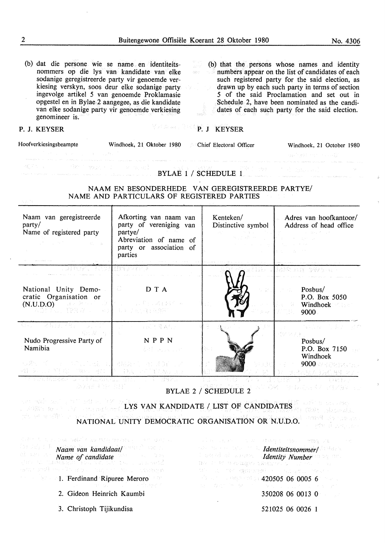$\bar{\beta}$ 

 $\bar{\bar{z}}$ 

 $\lambda$ 

 $\bar{\beta}$ 

| (b) dat die persone wie se name en identiteits-<br>(b) that the persons whose names and identity<br>agent.<br>P<br>nommers op die lys van kandidate van elke<br>numbers appear on the list of candidates of each<br>$\label{eq:G1} \mathcal{E} \left( \frac{\partial \mathcal{L}^{\text{M}}_{\text{R}} \mathcal{L}^{\text{M}}_{\text{R}} \mathcal{L}^{\text{M}}_{\text{R}} \right) = 0.$<br>sodanige geregistreerde party vir genoemde ver-<br>such registered party for the said election, as<br>kiesing verskyn, soos deur elke sodanige party<br>drawn up by each such party in terms of section<br>ingevolge artikel 5 van genoemde Proklamasie<br>5 of the said Proclamation and set out in<br>opgestel en in Bylae 2 aangegee, as die kandidate<br>Schedule 2, have been nominated as the candi-<br>van elke sodanige party vir genoemde verkiesing<br>dates of each such party for the said election.<br>genomineer is. |                                                                                                                              |                                                                                                                                                                                                                                                                                                                                                                                                                                                                                                                                                     |                                                                                                       |  |
|--------------------------------------------------------------------------------------------------------------------------------------------------------------------------------------------------------------------------------------------------------------------------------------------------------------------------------------------------------------------------------------------------------------------------------------------------------------------------------------------------------------------------------------------------------------------------------------------------------------------------------------------------------------------------------------------------------------------------------------------------------------------------------------------------------------------------------------------------------------------------------------------------------------------------------|------------------------------------------------------------------------------------------------------------------------------|-----------------------------------------------------------------------------------------------------------------------------------------------------------------------------------------------------------------------------------------------------------------------------------------------------------------------------------------------------------------------------------------------------------------------------------------------------------------------------------------------------------------------------------------------------|-------------------------------------------------------------------------------------------------------|--|
| P. J. KEYSER                                                                                                                                                                                                                                                                                                                                                                                                                                                                                                                                                                                                                                                                                                                                                                                                                                                                                                                   | <b>Manual Printing P. J REYSER</b>                                                                                           |                                                                                                                                                                                                                                                                                                                                                                                                                                                                                                                                                     |                                                                                                       |  |
| Hoofverkiesingsbeampte Windhoek, 21 Oktober 1980 Chief Electoral Officer<br>and the company of the authors                                                                                                                                                                                                                                                                                                                                                                                                                                                                                                                                                                                                                                                                                                                                                                                                                     |                                                                                                                              |                                                                                                                                                                                                                                                                                                                                                                                                                                                                                                                                                     | Windhoek, 21 October 1980<br>299 - 1941 - 230 - 241 AM                                                |  |
|                                                                                                                                                                                                                                                                                                                                                                                                                                                                                                                                                                                                                                                                                                                                                                                                                                                                                                                                | The second contract of the second $\mathbf{BYLAE}$ if $\mathbf{1}$ / SCHEDULE $\mathbf{1}$ .                                 | .<br>1990 - Paul Barnett, amerikansk filosof (* 1920)                                                                                                                                                                                                                                                                                                                                                                                                                                                                                               |                                                                                                       |  |
|                                                                                                                                                                                                                                                                                                                                                                                                                                                                                                                                                                                                                                                                                                                                                                                                                                                                                                                                | NAAM EN BESONDERHEDE VAN GEREGISTREERDE PARTYE/<br>NAME AND PARTICULARS OF REGISTERED PARTIES                                |                                                                                                                                                                                                                                                                                                                                                                                                                                                                                                                                                     |                                                                                                       |  |
| Naam van geregistreerde<br>party/<br>Name of registered party                                                                                                                                                                                                                                                                                                                                                                                                                                                                                                                                                                                                                                                                                                                                                                                                                                                                  | Afkorting van naam van<br>party of vereniging van<br>partye/<br>Abreviation of name of<br>party or association of<br>parties | Kenteken/<br>Distinctive symbol $\vert$                                                                                                                                                                                                                                                                                                                                                                                                                                                                                                             | Adres van hoofkantoor/<br>Address of head office                                                      |  |
| National Unity Demo-<br>cratic Organisation or<br>$(N.U.D.O)$ and the set of $N$<br>2005年1月,1998年2月,1998年1月,1999年5月,1998年                                                                                                                                                                                                                                                                                                                                                                                                                                                                                                                                                                                                                                                                                                                                                                                                      | $\begin{array}{ccc} \bullet & \bullet & \bullet & \bullet \end{array}$<br>■センターのように過ぎるその                                     |                                                                                                                                                                                                                                                                                                                                                                                                                                                                                                                                                     | 25.5 20 God 12 10 12 13 5 10 Fax 1<br><b>Posbus/</b><br>P.O. Box 5050<br>Windhoek <b>Mark</b><br>9000 |  |
| 经海损 计程序<br>Albert 1<br>조소 五주 눈을<br>Nudo Progressive Party of<br>Namibia<br>心默、不一定。所以人民的事,不愿以下                                                                                                                                                                                                                                                                                                                                                                                                                                                                                                                                                                                                                                                                                                                                                                                                                                  | (日明月 産者行)<br>$\sim 310$<br><b>NPPN</b><br>电线 医胸膜炎 计控                                                                         |                                                                                                                                                                                                                                                                                                                                                                                                                                                                                                                                                     | 新闻版 的复数<br>Posbus/<br>P.O. Box 7150<br>Windhoek<br>9000 37 5 22 12 1<br>せっきんひん きらく 佐藤 シリー             |  |
| しょうしょ たんしろおもうほし<br>きょうしゃ こうしょうほうきょ<br>激発症 机钻 计目的<br>马利县 高温 病人 计循环接收 日志<br>no 1994<br><b>BYLAE 2 / SCHEDULE 2</b>                                                                                                                                                                                                                                                                                                                                                                                                                                                                                                                                                                                                                                                                                                                                                                                                               |                                                                                                                              |                                                                                                                                                                                                                                                                                                                                                                                                                                                                                                                                                     |                                                                                                       |  |
| ser safe del grafi estre l'att del<br><b>EXECUTE LYS VAN KANDIDATE / LIST OF CANDIDATES</b><br>ZARANG OKO SESPAN<br>せんせいせい食べ いっとゆき<br>Concept Southern I<br>NATIONAL UNITY DEMOCRATIC ORGANISATION OR N.U.D.O.<br>ਜਾਂ ਸੂਨੀਲ ਦੀ ਫ਼ਰਦਰਜ਼ਨ                                                                                                                                                                                                                                                                                                                                                                                                                                                                                                                                                                                                                                                                                        |                                                                                                                              |                                                                                                                                                                                                                                                                                                                                                                                                                                                                                                                                                     |                                                                                                       |  |
| そのことにも、このは、NBCの「そっぴ ねんな ひゃんせい」 しゃくいまわたいい<br><b>Example 21 National National National Act of American Act of Act of Act of Act of Act of Act of Act of Act of Act of Act of Act of Act of Act of Act of Act of Act of Act of Act of Act of Act of Act of Act of Act of Act of</b><br>Name of candidate<br>restaurant aus Caracter aus aus au Processe                                                                                                                                                                                                                                                                                                                                                                                                                                                                                                                                                                           |                                                                                                                              | <b>Mentiteitsnommer/ Market School</b><br><b>Committee of the series of Identity Number</b> 1998 and<br>$\mathbb{W}^{1}_{\mathcal{V}}\left(\mathbb{R}^{n}\right)\cong\mathbb{W}^{1}_{\mathcal{V}}\left(\mathbb{W}^{1}_{\mathcal{V}}\right)\oplus\mathbb{W}^{1}_{\mathcal{V}}\left(\mathbb{W}^{1}_{\mathcal{V}}\right)\oplus\mathbb{W}^{1}_{\mathcal{V}}\left(\mathbb{W}^{1}_{\mathcal{V}}\right)\oplus\mathbb{W}^{1}_{\mathcal{V}}\left(\mathbb{W}^{1}_{\mathcal{V}}\right)\oplus\mathbb{W}^{1}_{\mathcal{V}}$<br>(4) L. Ye 横向的的 Sounday St. Server | 医原子宫 医双角的 医血管 经转让人的转让人的时间 网络鬣尾 医红色 医心理                                                                |  |
| <b>1. Ferdinand Ripuree Meroro</b>                                                                                                                                                                                                                                                                                                                                                                                                                                                                                                                                                                                                                                                                                                                                                                                                                                                                                             | 医心内室 经经济公司                                                                                                                   | $\sim$ 2000 $\sim$ 1000 $\approx$ 420505 06 0005 6 $\sim$ 420505 06 0005 6 $\sim$<br>$\Omega_{\mathcal{C}} = \mathcal{O}(\mathcal{C}_{\mathcal{C}}^{(1)} \otimes \mathcal{C}_{\mathcal{C}}^{(1)}) \otimes \mathcal{C}_{\mathcal{C}}^{(1)} \otimes \mathcal{C}_{\mathcal{C}}^{(1)} \otimes \mathcal{C}_{\mathcal{C}}^{(1)} \otimes \mathcal{C}_{\mathcal{C}}^{(1)} \otimes \mathcal{C}_{\mathcal{C}}^{(2)} \otimes \mathcal{C}_{\mathcal{C}}^{(3)} \otimes \mathcal{C}_{\mathcal{C}}^{(4)}$                                                          |                                                                                                       |  |
| 2. Gideon Heinrich Kaumbi                                                                                                                                                                                                                                                                                                                                                                                                                                                                                                                                                                                                                                                                                                                                                                                                                                                                                                      |                                                                                                                              |                                                                                                                                                                                                                                                                                                                                                                                                                                                                                                                                                     | 350208 06 0013 0                                                                                      |  |
| 3. Christoph Tijikundisa                                                                                                                                                                                                                                                                                                                                                                                                                                                                                                                                                                                                                                                                                                                                                                                                                                                                                                       |                                                                                                                              |                                                                                                                                                                                                                                                                                                                                                                                                                                                                                                                                                     | 521025 06 0026 1                                                                                      |  |

 $\bar{\beta}$ 

 $\mathcal{L}$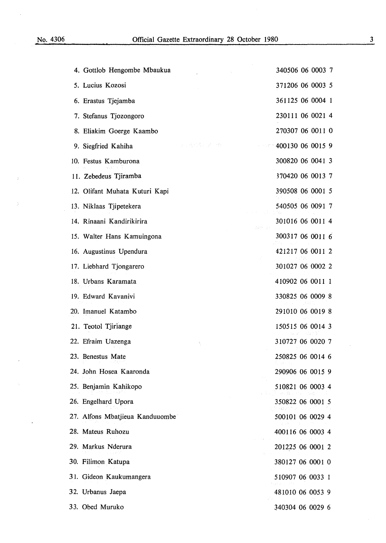$\bar{z}$ 

 $\tilde{\mathcal{I}}$ 

 $\ddot{\phantom{a}}$ 

| 4. Gottlob Hengombe Mbaukua                                       | 340506 06 0003 7 |
|-------------------------------------------------------------------|------------------|
| 5. Lucius Kozosi                                                  | 371206 06 0003 5 |
| 6. Erastus Tjejamba                                               | 361125 06 0004 1 |
| 7. Stefanus Tjozongoro                                            | 230111 06 0021 4 |
| 8. Eliakim Goerge Kaambo                                          | 270307 06 0011 0 |
| 医心腹部瘤 医异位骨折<br>$\pm$ 100 $\pm$ 100 $^{-1}$<br>9. Siegfried Kahiha | 400130 06 0015 9 |
| 10. Festus Kamburona                                              | 300820 06 0041 3 |
| 11. Zebedeus Tjiramba                                             | 370420 06 0013 7 |
| 12. Olifant Muhata Kuturi Kapi                                    | 390508 06 0001 5 |
| 13. Niklaas Tjipetekera                                           | 540505 06 0091 7 |
| 14. Rinaani Kandirikirira<br>184737                               | 301016 06 0011 4 |
| 15. Walter Hans Kamuingona                                        | 300317 06 0011 6 |
| 16. Augustinus Upendura                                           | 421217 06 0011 2 |
| 17. Liebhard Tjongarero                                           | 301027 06 0002 2 |
| 18. Urbans Karamata                                               | 410902 06 0011 1 |
| 19. Edward Kavanivi                                               | 330825 06 0009 8 |
| 20. Imanuel Katambo                                               | 291010 06 0019 8 |
| 21. Teotol Tjiriange                                              | 150515 06 0014 3 |
| 22. Efraim Uazenga                                                | 310727 06 0020 7 |
| 23. Benestus Mate                                                 | 250825 06 0014 6 |
| 24. John Hosea Kaaronda                                           | 290906 06 0015 9 |
| 25. Benjamin Kahikopo                                             | 510821 06 0003 4 |
| 26. Engelhard Upora                                               | 350822 06 0001 5 |
| 27. Alfons Mbatjieua Kanduuombe                                   | 500101 06 0029 4 |
| 28. Mateus Ruhozu                                                 | 400116 06 0003 4 |
| 29. Markus Nderura                                                | 201225 06 0001 2 |
| 30. Filimon Katupa                                                | 380127 06 0001 0 |
| 31. Gideon Kaukumangera                                           | 510907 06 0033 1 |
| 32. Urbanus Jaepa                                                 | 481010 06 0053 9 |
| 33. Obed Muruko                                                   | 340304 06 0029 6 |

3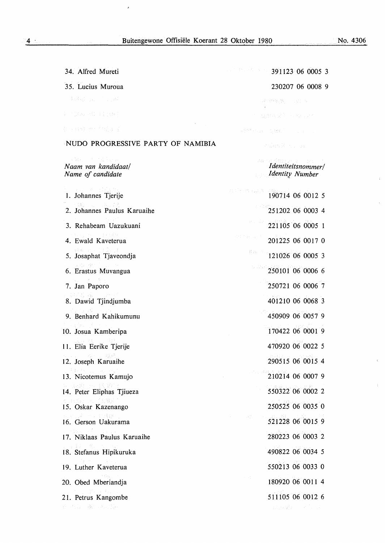$\hat{\mathbf{z}}$ 

No. 4306

 $\hat{\vec{r}}$ 

 $\hat{\lambda}$ 

 $\hat{\chi}$ 

 $\hat{\mathbf{t}}$ 

| 34. Alfred Mureti                                                                                                                                                                                                                                           | $391123$ 06 0005 3                                                                                                                                                       |
|-------------------------------------------------------------------------------------------------------------------------------------------------------------------------------------------------------------------------------------------------------------|--------------------------------------------------------------------------------------------------------------------------------------------------------------------------|
| 35. Lucius Muroua                                                                                                                                                                                                                                           | 230207 06 0008 9                                                                                                                                                         |
| MAG SALE TELENT                                                                                                                                                                                                                                             | 국내 95년에 2017년                                                                                                                                                            |
| P (200 PD 13 (RF)                                                                                                                                                                                                                                           | t samedit e neve                                                                                                                                                         |
| 如 注解的 计选择程序区                                                                                                                                                                                                                                                | 将数据: Navarril 12 HBC (1999) (1999) (1999)                                                                                                                                |
| NUDO PROGRESSIVE PARTY OF NAMIBIA                                                                                                                                                                                                                           | Philad X (1975)                                                                                                                                                          |
| ( ) 解析 ( ) + ( ) 提升行业<br>Naam van kandidaat/<br>Name of candidate                                                                                                                                                                                           | ars dan 2007 a<br>Identiteitsnommer/<br><b>Identity Number</b>                                                                                                           |
| 3. 一路, 一路, 机高效,<br>1. Johannes Tjerije<br>한 대체 보니 나.                                                                                                                                                                                                        | 190714 06 0012 5                                                                                                                                                         |
| 2. Johannes Paulus Karuaihe                                                                                                                                                                                                                                 | 251202 06 0003 4                                                                                                                                                         |
| 3. Rehabeam Uazukuani                                                                                                                                                                                                                                       | 221105 06 0005 1                                                                                                                                                         |
| Fare production of the<br>4. Ewald Kaveterua                                                                                                                                                                                                                | 经实质的 计可图<br>201225 06 0017 0                                                                                                                                             |
| <b>(株) ピックエス</b><br>5. Josaphat Tjaveondja                                                                                                                                                                                                                  | $121026\ 06\ 0005\ 3$                                                                                                                                                    |
| $\label{eq:R1} \mathcal{L} \propto \mathcal{L}^2_{\rm eff} \left( \frac{1}{2} \mathcal{L} \right) \left( \frac{2}{\sqrt{2}} \mathcal{L} \right)^{1/2} \left( \frac{1}{2} \mathcal{L} \right) \left( \frac{1}{2} \mathcal{L} \right)$<br>6. Erastus Muvangua | 12 W O<br>250101 06 0006 6                                                                                                                                               |
| $\sqrt{1-\gamma}$ and $\gamma$<br>7. Jan Paporo                                                                                                                                                                                                             | 250721 06 0006 7                                                                                                                                                         |
| r 朝陽 森 - Jane<br>8. Dawid Tjindjumba                                                                                                                                                                                                                        | 401210 06 0068 3                                                                                                                                                         |
| 9. Benhard Kahikumunu                                                                                                                                                                                                                                       | 450909 06 0057 9                                                                                                                                                         |
| 한 사람들이 아니?<br>10. Josua Kamberipa                                                                                                                                                                                                                           | 170422 06 0001 9                                                                                                                                                         |
| 11. Elia Eerike Tjerije                                                                                                                                                                                                                                     | 470920 06 0022 5                                                                                                                                                         |
| <b>SALE STATE</b><br>一城區<br>12. Joseph Karuaihe                                                                                                                                                                                                             | 290515 06 0015 4                                                                                                                                                         |
| (未取名) 2000 820 8<br>13. Nicotemus Kamujo                                                                                                                                                                                                                    | 210214 06 0007 9                                                                                                                                                         |
| 4. 机动物 计二组(30%)<br>14. Peter Eliphas Tjiueza                                                                                                                                                                                                                | 550322 06 0002 2                                                                                                                                                         |
| Confer at 1930)<br>15. Oskar Kazenango                                                                                                                                                                                                                      | 250525 06 0035 0                                                                                                                                                         |
| 16. Gerson Uakurama                                                                                                                                                                                                                                         | $\label{eq:2} \mathcal{F}(\mathcal{F}) = \mathcal{F}(\mathcal{F}) = \mathcal{F}(\mathcal{F}) = \mathcal{F}(\mathcal{F}) = \mathcal{F}(\mathcal{F}).$<br>521228 06 0015 9 |
| 그는 어려워서 가게 하<br>17. Niklaas Paulus Karuaihe                                                                                                                                                                                                                 | 280223 06 0003 2                                                                                                                                                         |
| <b>SATISTICS</b><br>18. Stefanus Hipikuruka                                                                                                                                                                                                                 | 490822 06 0034 5                                                                                                                                                         |
| 19. Luther Kaveterua                                                                                                                                                                                                                                        | 550213 06 0033 0                                                                                                                                                         |
| <b>Secretary Control</b><br>20. Obed Mberiandja                                                                                                                                                                                                             | mark 1<br>180920 06 0011 4                                                                                                                                               |
| $\mathbb{P}(\mathcal{Y}) \neq \{0\}$<br>21. Petrus Kangombe                                                                                                                                                                                                 | 511105 06 0012 6                                                                                                                                                         |
| 在一位设计报告中的公司会计                                                                                                                                                                                                                                               | ading#rook a Dou                                                                                                                                                         |